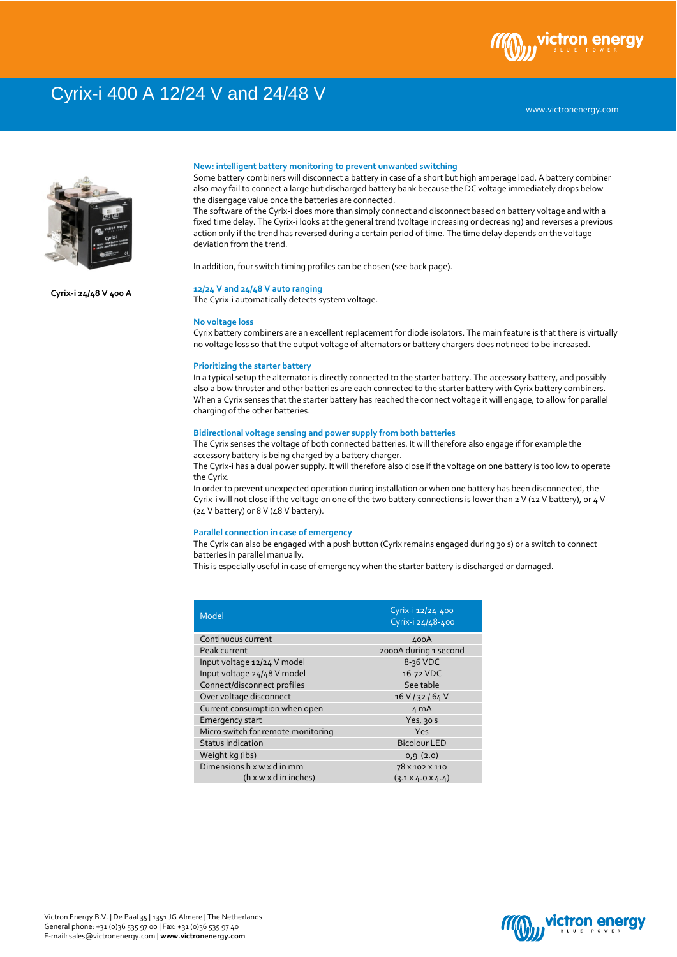# Cyrix-i 400 A 12/24 V and 24/48 V

## **New: intelligent battery monitoring to prevent unwanted switching**

Some battery combiners will disconnect a battery in case of a short but high amperage load. A battery combiner also may fail to connect a large but discharged battery bank because the DC voltage immediately drops below the disengage value once the batteries are connected.

The software of the Cyrix-i does more than simply connect and disconnect based on battery voltage and with a fixed time delay. The Cyrix-i looks at the general trend (voltage increasing or decreasing) and reverses a previous action only if the trend has reversed during a certain period of time. The time delay depends on the voltage deviation from the trend.

In addition, four switch timing profiles can be chosen (see back page).

### **12/24 V and 24/48 V auto ranging**

The Cyrix-i automatically detects system voltage.

### **No voltage loss**

Cyrix battery combiners are an excellent replacement for diode isolators. The main feature is that there is virtually no voltage loss so that the output voltage of alternators or battery chargers does not need to be increased.

### **Prioritizing the starter battery**

In a typical setup the alternator is directly connected to the starter battery. The accessory battery, and possibly also a bow thruster and other batteries are each connected to the starter battery with Cyrix battery combiners. When a Cyrix senses that the starter battery has reached the connect voltage it will engage, to allow for parallel charging of the other batteries.

### **Bidirectional voltage sensing and power supply from both batteries**

The Cyrix senses the voltage of both connected batteries. It will therefore also engage if for example the accessory battery is being charged by a battery charger.

The Cyrix-i has a dual power supply. It will therefore also close if the voltage on one battery is too low to operate the Cyrix.

In order to prevent unexpected operation during installation or when one battery has been disconnected, the Cyrix-i will not close if the voltage on one of the two battery connections is lower than 2 V (12 V battery), or 4 V (24 V battery) or 8 V (48 V battery).

#### **Parallel connection in case of emergency**

The Cyrix can also be engaged with a push button (Cyrix remains engaged during 30 s) or a switch to connect batteries in parallel manually.

This is especially useful in case of emergency when the starter battery is discharged or damaged.

| Model                              | Cyrix-i 12/24-400<br>Cyrix-i 24/48-400 |
|------------------------------------|----------------------------------------|
| Continuous current                 | 400A                                   |
| Peak current                       | 2000A during 1 second                  |
| Input voltage 12/24 V model        | 8-36 VDC                               |
| Input voltage 24/48 V model        | 16-72 VDC                              |
| Connect/disconnect profiles        | See table                              |
| Over voltage disconnect            | 16 V / 32 / 64 V                       |
| Current consumption when open      | 4 mA                                   |
| <b>Emergency start</b>             | Yes, 30 s                              |
| Micro switch for remote monitoring | Yes                                    |
| <b>Status indication</b>           | <b>Bicolour LED</b>                    |
| Weight kg (lbs)                    | 0,9(2.0)                               |
| Dimensions h x w x d in mm         | 78 x 102 x 110                         |
| $(h \times w \times d)$ in inches) | $(3.1 \times 4.0 \times 4.4)$          |



**Cyrix-i 24/48 V 400 A**